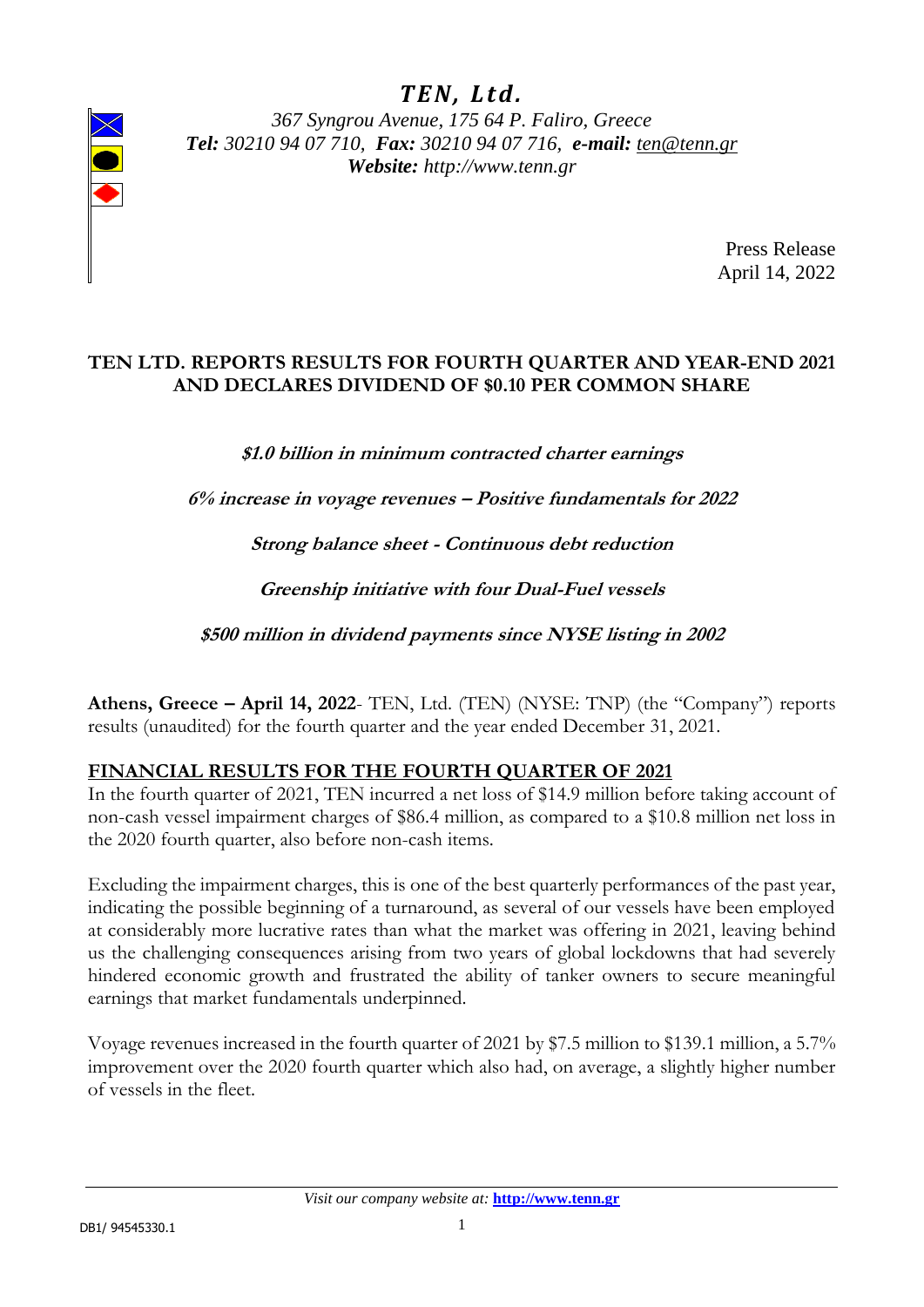# *T E N , L t d .*



*367 Syngrou Avenue, 175 64 P. Faliro, Greece Tel: 30210 94 07 710, Fax: 30210 94 07 716, e-mail: [ten@tenn.gr](mailto:ten@tenn.gr) Website: http://www.tenn.gr* 

> Press Release April 14, 2022

#### **TEN LTD. REPORTS RESULTS FOR FOURTH QUARTER AND YEAR-END 2021 AND DECLARES DIVIDEND OF \$0.10 PER COMMON SHARE**

**\$1.0 billion in minimum contracted charter earnings** 

**6% increase in voyage revenues – Positive fundamentals for 2022**

**Strong balance sheet - Continuous debt reduction** 

**Greenship initiative with four Dual-Fuel vessels** 

**\$500 million in dividend payments since NYSE listing in 2002**

**Athens, Greece – April 14, 2022**- TEN, Ltd. (TEN) (NYSE: TNP) (the "Company") reports results (unaudited) for the fourth quarter and the year ended December 31, 2021.

#### **FINANCIAL RESULTS FOR THE FOURTH QUARTER OF 2021**

In the fourth quarter of 2021, TEN incurred a net loss of \$14.9 million before taking account of non-cash vessel impairment charges of \$86.4 million, as compared to a \$10.8 million net loss in the 2020 fourth quarter, also before non-cash items.

Excluding the impairment charges, this is one of the best quarterly performances of the past year, indicating the possible beginning of a turnaround, as several of our vessels have been employed at considerably more lucrative rates than what the market was offering in 2021, leaving behind us the challenging consequences arising from two years of global lockdowns that had severely hindered economic growth and frustrated the ability of tanker owners to secure meaningful earnings that market fundamentals underpinned.

Voyage revenues increased in the fourth quarter of 2021 by \$7.5 million to \$139.1 million, a 5.7% improvement over the 2020 fourth quarter which also had, on average, a slightly higher number of vessels in the fleet.

*Visit our company website at:* **[http://www.tenn.gr](http://www.tenn.gr/)**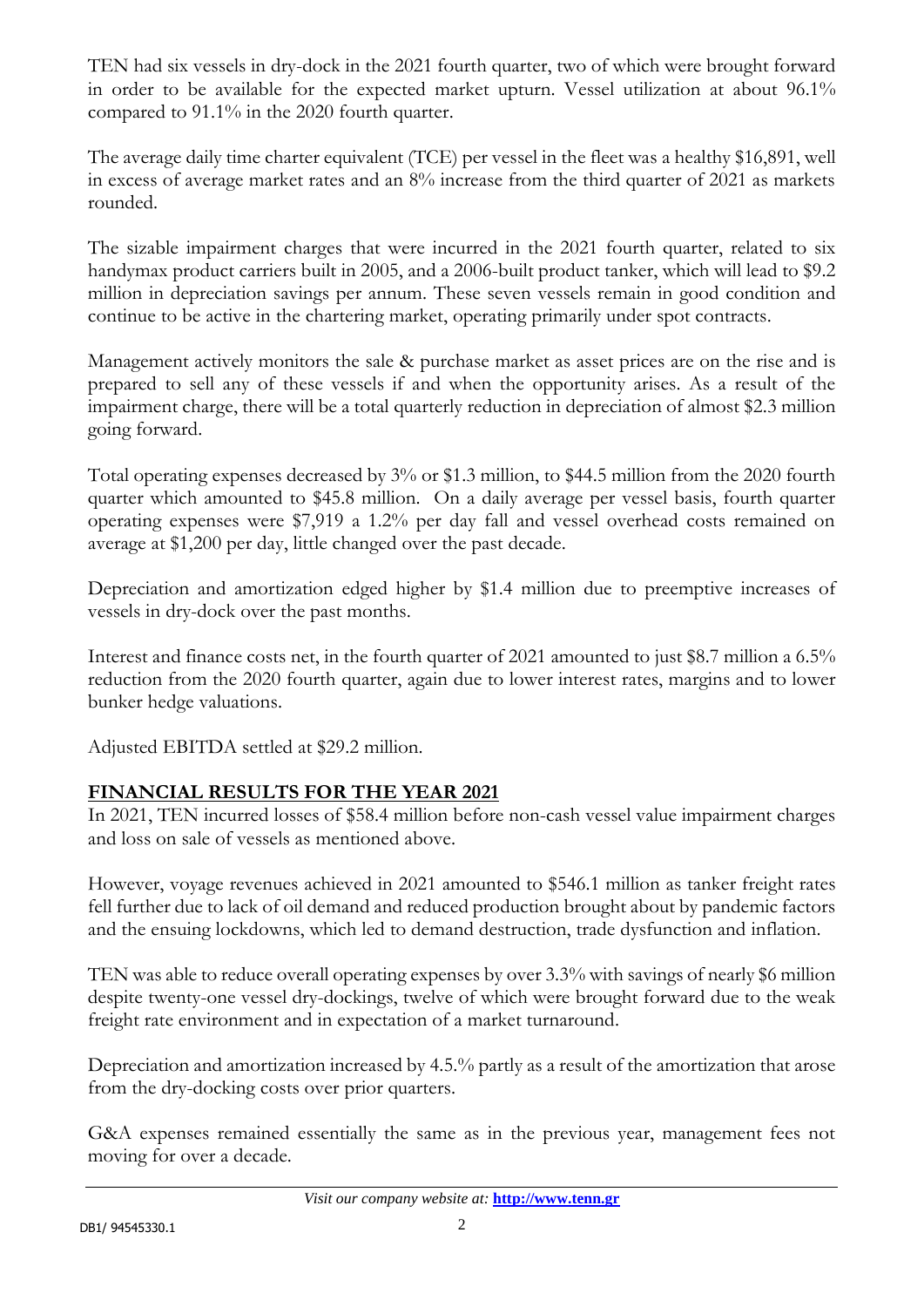TEN had six vessels in dry-dock in the 2021 fourth quarter, two of which were brought forward in order to be available for the expected market upturn. Vessel utilization at about 96.1% compared to 91.1% in the 2020 fourth quarter.

The average daily time charter equivalent (TCE) per vessel in the fleet was a healthy \$16,891, well in excess of average market rates and an 8% increase from the third quarter of 2021 as markets rounded.

The sizable impairment charges that were incurred in the 2021 fourth quarter, related to six handymax product carriers built in 2005, and a 2006-built product tanker, which will lead to \$9.2 million in depreciation savings per annum. These seven vessels remain in good condition and continue to be active in the chartering market, operating primarily under spot contracts.

Management actively monitors the sale & purchase market as asset prices are on the rise and is prepared to sell any of these vessels if and when the opportunity arises. As a result of the impairment charge, there will be a total quarterly reduction in depreciation of almost \$2.3 million going forward.

Total operating expenses decreased by 3% or \$1.3 million, to \$44.5 million from the 2020 fourth quarter which amounted to \$45.8 million. On a daily average per vessel basis, fourth quarter operating expenses were \$7,919 a 1.2% per day fall and vessel overhead costs remained on average at \$1,200 per day, little changed over the past decade.

Depreciation and amortization edged higher by \$1.4 million due to preemptive increases of vessels in dry-dock over the past months.

Interest and finance costs net, in the fourth quarter of 2021 amounted to just \$8.7 million a 6.5% reduction from the 2020 fourth quarter, again due to lower interest rates, margins and to lower bunker hedge valuations.

Adjusted EBITDA settled at \$29.2 million.

#### **FINANCIAL RESULTS FOR THE YEAR 2021**

In 2021, TEN incurred losses of \$58.4 million before non-cash vessel value impairment charges and loss on sale of vessels as mentioned above.

However, voyage revenues achieved in 2021 amounted to \$546.1 million as tanker freight rates fell further due to lack of oil demand and reduced production brought about by pandemic factors and the ensuing lockdowns, which led to demand destruction, trade dysfunction and inflation.

TEN was able to reduce overall operating expenses by over 3.3% with savings of nearly \$6 million despite twenty-one vessel dry-dockings, twelve of which were brought forward due to the weak freight rate environment and in expectation of a market turnaround.

Depreciation and amortization increased by 4.5.% partly as a result of the amortization that arose from the dry-docking costs over prior quarters.

G&A expenses remained essentially the same as in the previous year, management fees not moving for over a decade.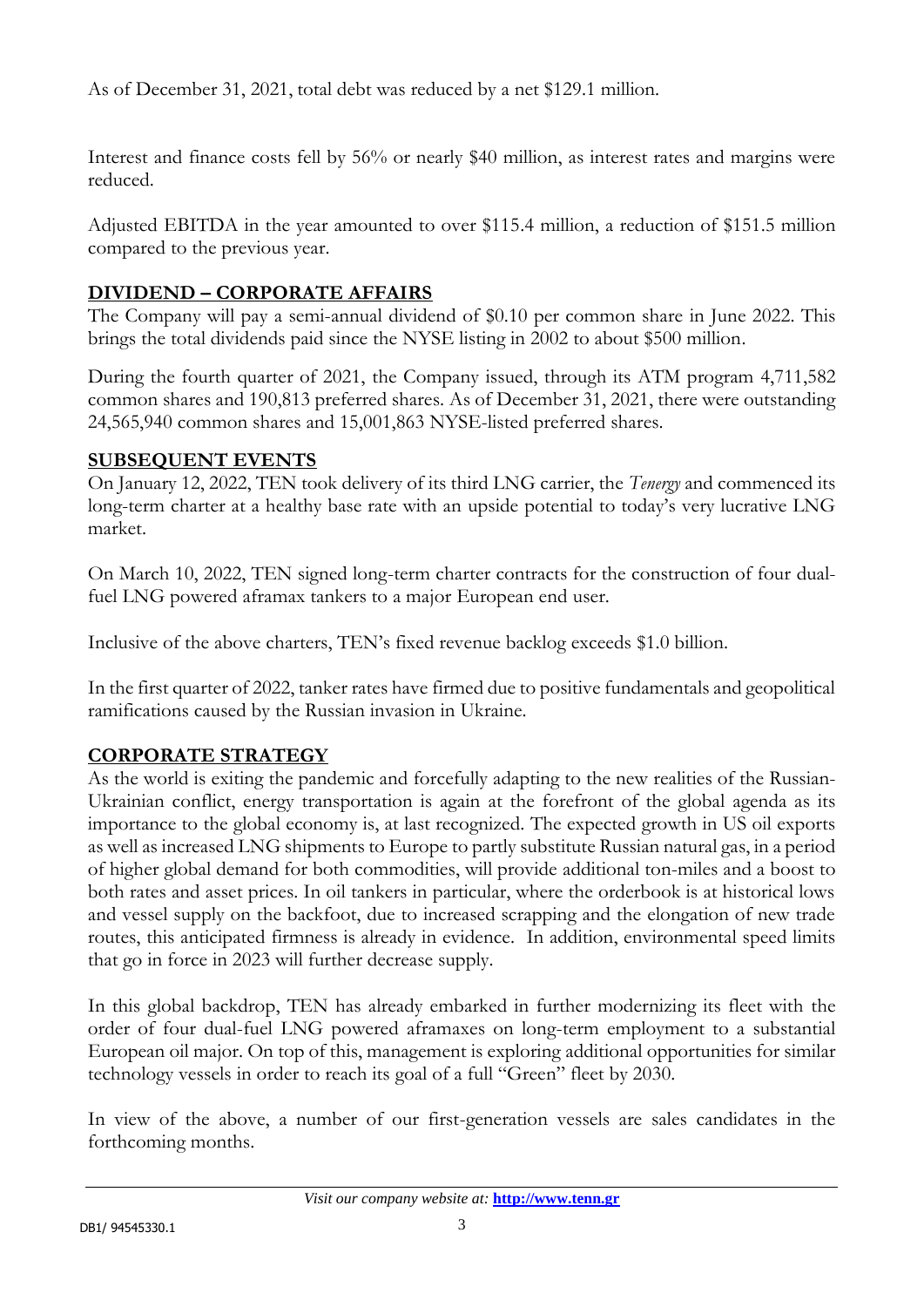As of December 31, 2021, total debt was reduced by a net \$129.1 million.

Interest and finance costs fell by 56% or nearly \$40 million, as interest rates and margins were reduced.

Adjusted EBITDA in the year amounted to over \$115.4 million, a reduction of \$151.5 million compared to the previous year.

## **DIVIDEND – CORPORATE AFFAIRS**

The Company will pay a semi-annual dividend of \$0.10 per common share in June 2022. This brings the total dividends paid since the NYSE listing in 2002 to about \$500 million.

During the fourth quarter of 2021, the Company issued, through its ATM program 4,711,582 common shares and 190,813 preferred shares. As of December 31, 2021, there were outstanding 24,565,940 common shares and 15,001,863 NYSE-listed preferred shares.

### **SUBSEQUENT EVENTS**

On January 12, 2022, TEN took delivery of its third LNG carrier, the *Tenergy* and commenced its long-term charter at a healthy base rate with an upside potential to today's very lucrative LNG market.

On March 10, 2022, TEN signed long-term charter contracts for the construction of four dualfuel LNG powered aframax tankers to a major European end user.

Inclusive of the above charters, TEN's fixed revenue backlog exceeds \$1.0 billion.

In the first quarter of 2022, tanker rates have firmed due to positive fundamentals and geopolitical ramifications caused by the Russian invasion in Ukraine.

### **CORPORATE STRATEGY**

As the world is exiting the pandemic and forcefully adapting to the new realities of the Russian-Ukrainian conflict, energy transportation is again at the forefront of the global agenda as its importance to the global economy is, at last recognized. The expected growth in US oil exports as well as increased LNG shipments to Europe to partly substitute Russian natural gas, in a period of higher global demand for both commodities, will provide additional ton-miles and a boost to both rates and asset prices. In oil tankers in particular, where the orderbook is at historical lows and vessel supply on the backfoot, due to increased scrapping and the elongation of new trade routes, this anticipated firmness is already in evidence. In addition, environmental speed limits that go in force in 2023 will further decrease supply.

In this global backdrop, TEN has already embarked in further modernizing its fleet with the order of four dual-fuel LNG powered aframaxes on long-term employment to a substantial European oil major. On top of this, management is exploring additional opportunities for similar technology vessels in order to reach its goal of a full "Green" fleet by 2030.

In view of the above, a number of our first-generation vessels are sales candidates in the forthcoming months.

*Visit our company website at:* **[http://www.tenn.gr](http://www.tenn.gr/)**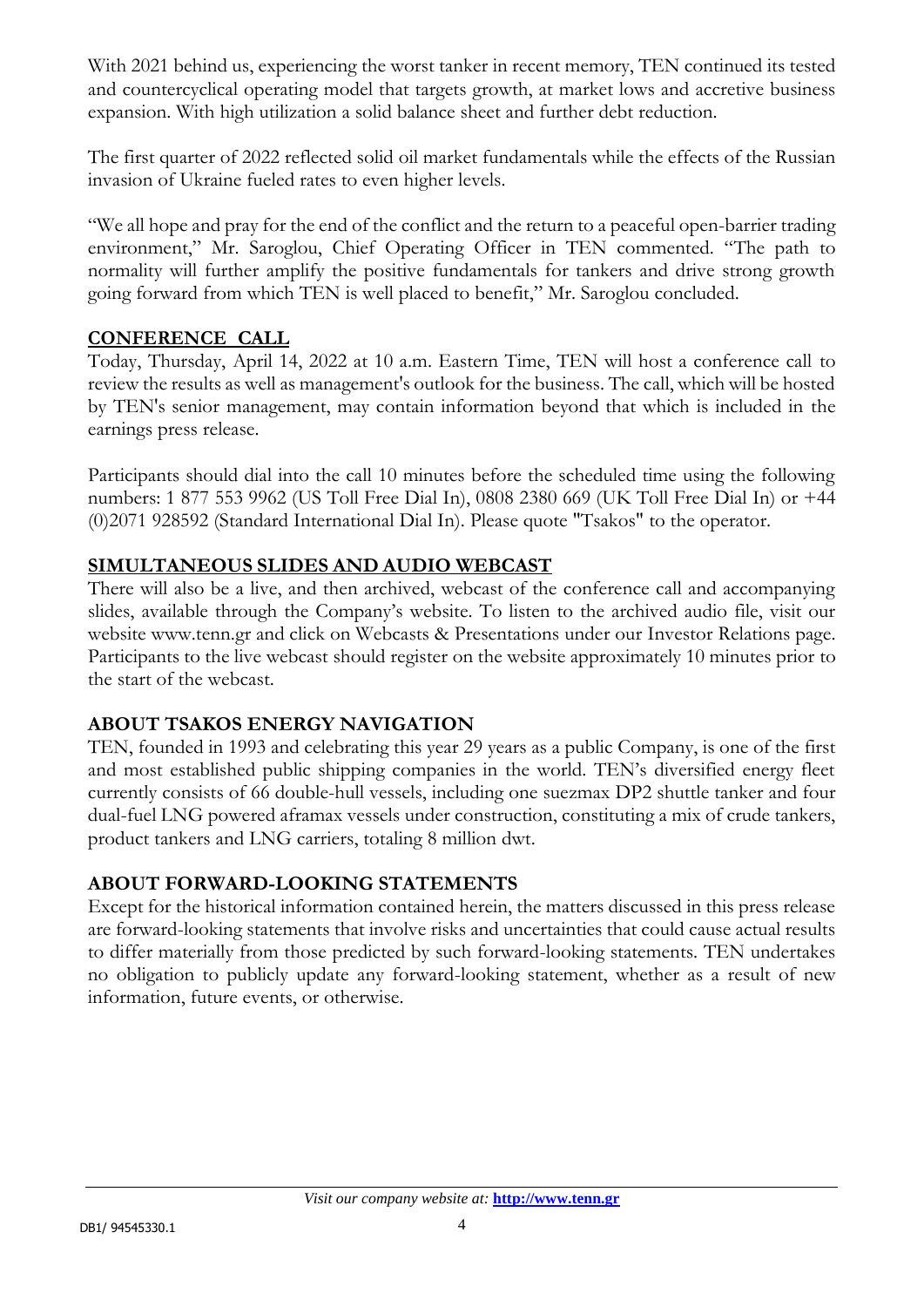With 2021 behind us, experiencing the worst tanker in recent memory, TEN continued its tested and countercyclical operating model that targets growth, at market lows and accretive business expansion. With high utilization a solid balance sheet and further debt reduction.

The first quarter of 2022 reflected solid oil market fundamentals while the effects of the Russian invasion of Ukraine fueled rates to even higher levels.

"We all hope and pray for the end of the conflict and the return to a peaceful open-barrier trading environment," Mr. Saroglou, Chief Operating Officer in TEN commented. "The path to normality will further amplify the positive fundamentals for tankers and drive strong growth going forward from which TEN is well placed to benefit," Mr. Saroglou concluded.

#### **CONFERENCE CALL**

Today, Thursday, April 14, 2022 at 10 a.m. Eastern Time, TEN will host a conference call to review the results as well as management's outlook for the business. The call, which will be hosted by TEN's senior management, may contain information beyond that which is included in the earnings press release.

Participants should dial into the call 10 minutes before the scheduled time using the following numbers: 1 877 553 9962 (US Toll Free Dial In), 0808 2380 669 (UK Toll Free Dial In) or +44 (0)2071 928592 (Standard International Dial In). Please quote "Tsakos" to the operator.

#### **SIMULTANEOUS SLIDES AND AUDIO WEBCAST**

There will also be a live, and then archived, webcast of the conference call and accompanying slides, available through the Company's website. To listen to the archived audio file, visit our website [www.tenn.gr](http://www.tenn.gr/) and click on Webcasts & Presentations under our Investor Relations page. Participants to the live webcast should register on the website approximately 10 minutes prior to the start of the webcast.

#### **ABOUT TSAKOS ENERGY NAVIGATION**

TEN, founded in 1993 and celebrating this year 29 years as a public Company, is one of the first and most established public shipping companies in the world. TEN's diversified energy fleet currently consists of 66 double-hull vessels, including one suezmax DP2 shuttle tanker and four dual-fuel LNG powered aframax vessels under construction, constituting a mix of crude tankers, product tankers and LNG carriers, totaling 8 million dwt.

#### **ABOUT FORWARD-LOOKING STATEMENTS**

Except for the historical information contained herein, the matters discussed in this press release are forward-looking statements that involve risks and uncertainties that could cause actual results to differ materially from those predicted by such forward-looking statements. TEN undertakes no obligation to publicly update any forward-looking statement, whether as a result of new information, future events, or otherwise.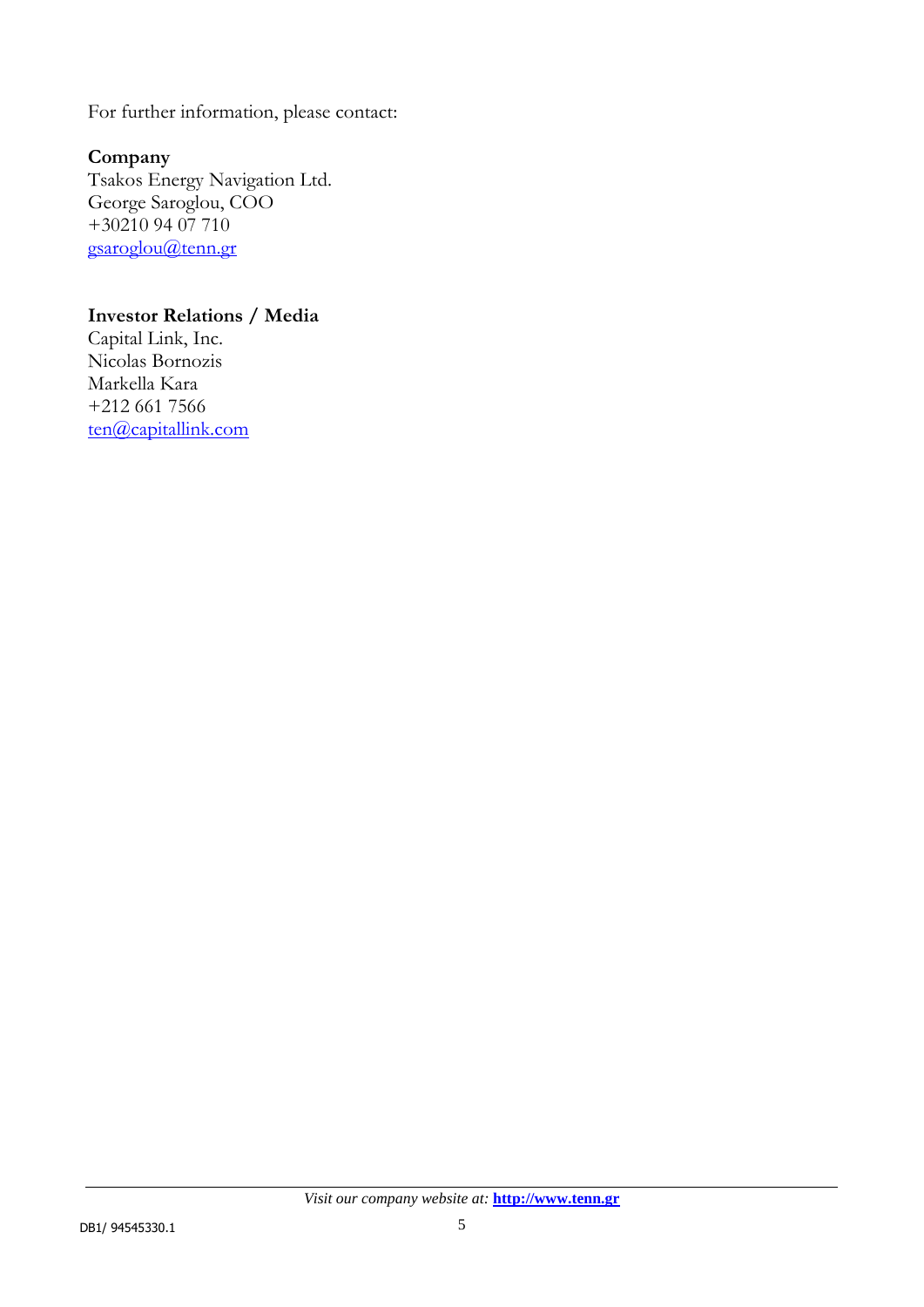For further information, please contact:

### **Company**

Tsakos Energy Navigation Ltd. George Saroglou, COO +30210 94 07 710 [gsaroglou@tenn.gr](mailto:gsaroglou@tenn.gr)

#### **Investor Relations / Media**

Capital Link, Inc. Nicolas Bornozis Markella Kara +212 661 7566 [ten@capitallink.com](mailto:ten@capitallink.com)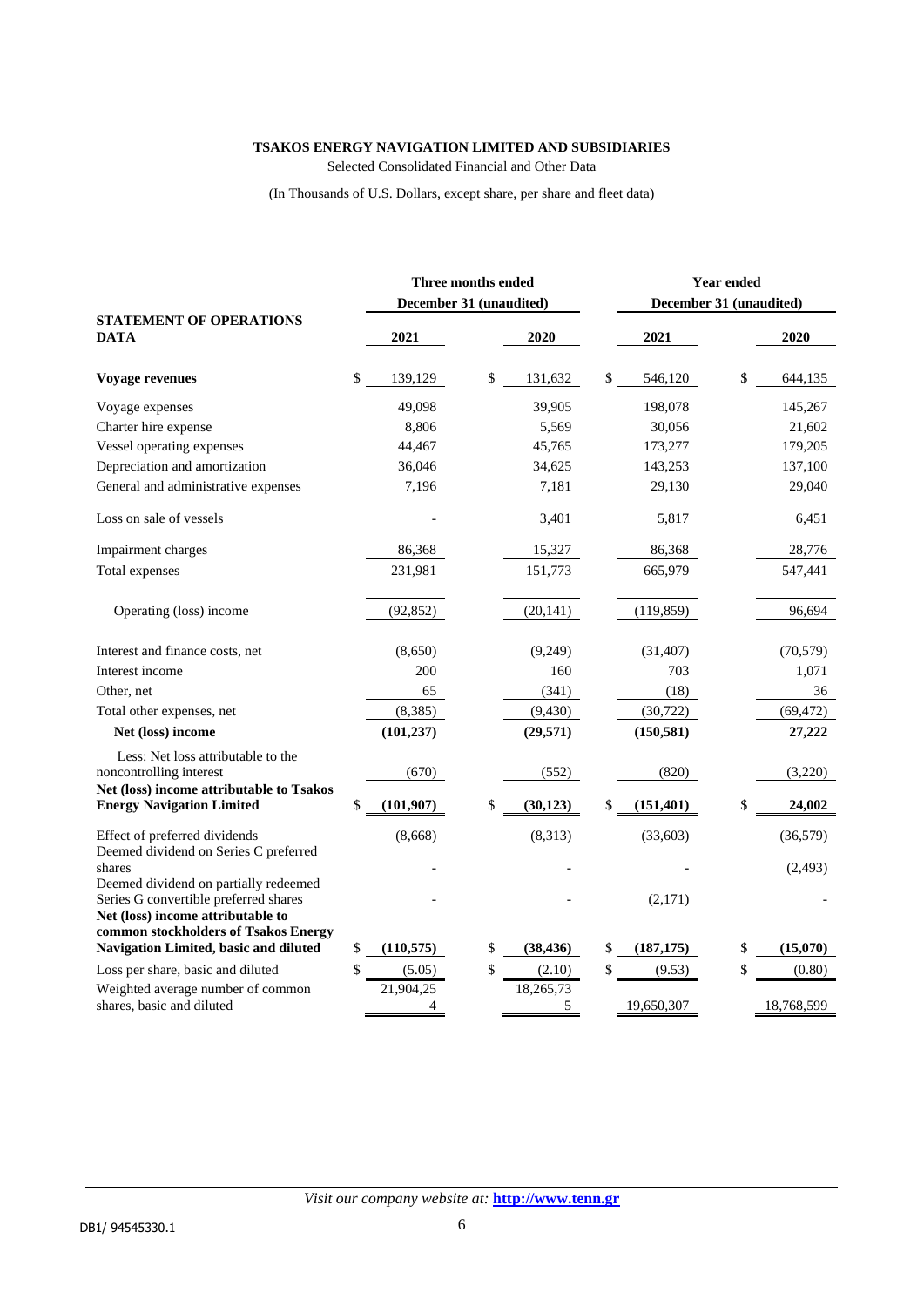#### **TSAKOS ENERGY NAVIGATION LIMITED AND SUBSIDIARIES**

Selected Consolidated Financial and Other Data

(In Thousands of U.S. Dollars, except share, per share and fleet data)

|                                                                                                                    | Three months ended<br>December 31 (unaudited) |                 | <b>Year ended</b><br>December 31 (unaudited) |            |    |            |  |
|--------------------------------------------------------------------------------------------------------------------|-----------------------------------------------|-----------------|----------------------------------------------|------------|----|------------|--|
| <b>STATEMENT OF OPERATIONS</b><br>DATA                                                                             | 2021                                          | 2020            |                                              | 2021       |    | 2020       |  |
| Voyage revenues                                                                                                    | \$<br>139,129                                 | \$<br>131,632   | \$                                           | 546,120    | \$ | 644,135    |  |
| Voyage expenses                                                                                                    | 49,098                                        | 39,905          |                                              | 198,078    |    | 145,267    |  |
| Charter hire expense                                                                                               | 8,806                                         | 5,569           |                                              | 30,056     |    | 21,602     |  |
| Vessel operating expenses                                                                                          | 44,467                                        | 45,765          |                                              | 173,277    |    | 179,205    |  |
| Depreciation and amortization                                                                                      | 36,046                                        | 34,625          |                                              | 143,253    |    | 137,100    |  |
| General and administrative expenses                                                                                | 7,196                                         | 7,181           |                                              | 29,130     |    | 29,040     |  |
| Loss on sale of vessels                                                                                            |                                               | 3,401           |                                              | 5,817      |    | 6,451      |  |
| Impairment charges                                                                                                 | 86,368                                        | 15,327          |                                              | 86,368     |    | 28,776     |  |
| Total expenses                                                                                                     | 231,981                                       | 151,773         |                                              | 665,979    |    | 547,441    |  |
| Operating (loss) income                                                                                            | (92, 852)                                     | (20, 141)       |                                              | (119, 859) |    | 96,694     |  |
| Interest and finance costs, net                                                                                    | (8,650)                                       | (9,249)         |                                              | (31, 407)  |    | (70, 579)  |  |
| Interest income                                                                                                    | 200                                           | 160             |                                              | 703        |    | 1,071      |  |
| Other, net                                                                                                         | 65                                            | (341)           |                                              | (18)       |    | 36         |  |
| Total other expenses, net                                                                                          | (8, 385)                                      | (9, 430)        |                                              | (30, 722)  |    | (69, 472)  |  |
| Net (loss) income                                                                                                  | (101, 237)                                    | (29, 571)       |                                              | (150, 581) |    | 27,222     |  |
| Less: Net loss attributable to the<br>noncontrolling interest<br>Net (loss) income attributable to Tsakos          | (670)                                         | (552)           |                                              | (820)      |    | (3,220)    |  |
| <b>Energy Navigation Limited</b>                                                                                   | \$<br>(101, 907)                              | \$<br>(30, 123) | \$                                           | (151, 401) | \$ | 24,002     |  |
| Effect of preferred dividends<br>Deemed dividend on Series C preferred                                             | (8,668)                                       | (8,313)         |                                              | (33,603)   |    | (36,579)   |  |
| shares<br>Deemed dividend on partially redeemed                                                                    |                                               |                 |                                              |            |    | (2, 493)   |  |
| Series G convertible preferred shares<br>Net (loss) income attributable to<br>common stockholders of Tsakos Energy |                                               |                 |                                              | (2,171)    |    |            |  |
| Navigation Limited, basic and diluted                                                                              | \$<br>(110, 575)                              | \$<br>(38, 436) | \$                                           | (187, 175) | \$ | (15,070)   |  |
| Loss per share, basic and diluted                                                                                  | \$<br>(5.05)                                  | \$<br>(2.10)    | \$                                           | (9.53)     | \$ | (0.80)     |  |
| Weighted average number of common                                                                                  | 21,904,25                                     | 18,265,73       |                                              |            |    |            |  |
| shares, basic and diluted                                                                                          | 4                                             | 5               |                                              | 19,650,307 |    | 18,768,599 |  |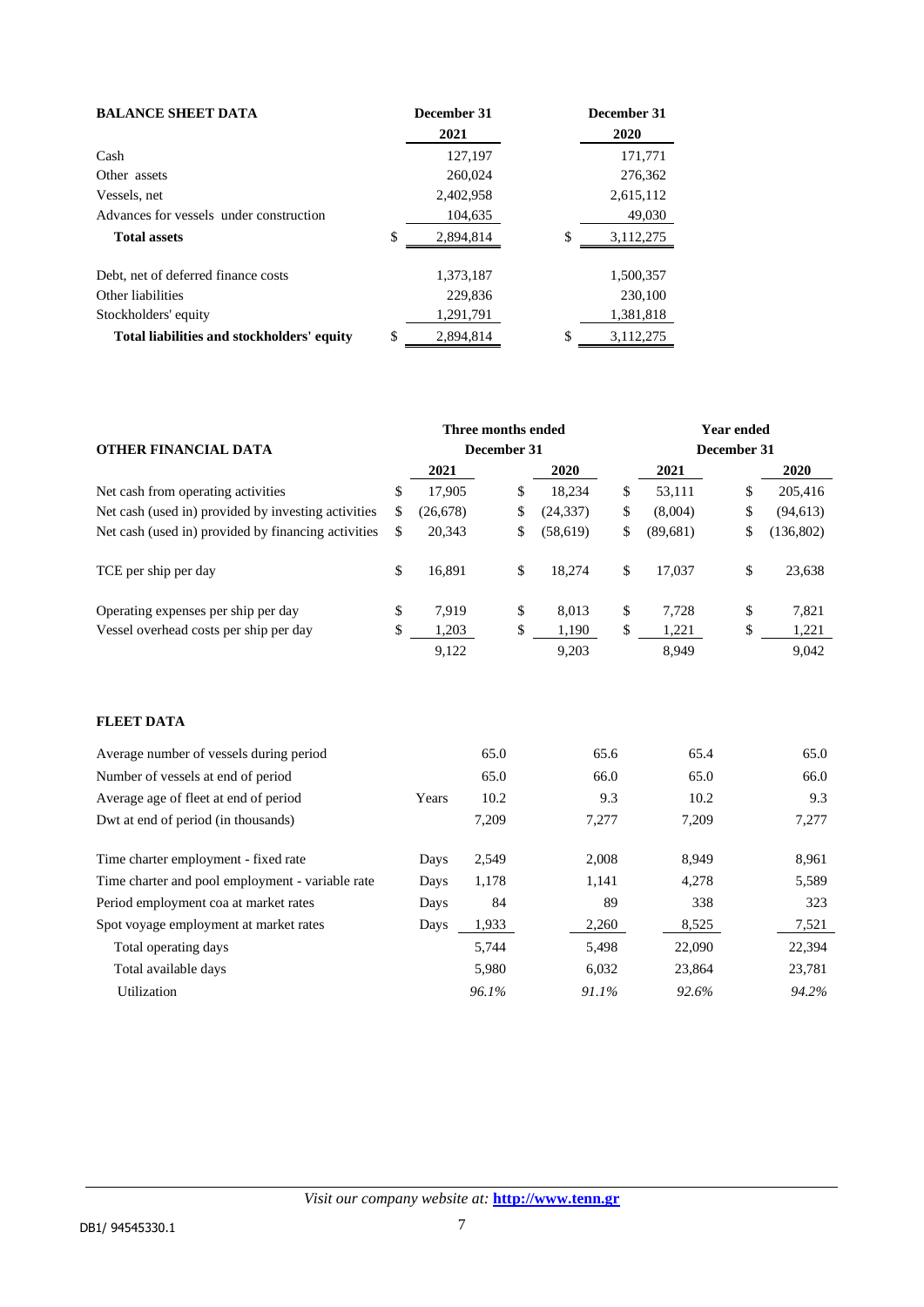| <b>BALANCE SHEET DATA</b>                  |    | December 31 |    | December 31 |
|--------------------------------------------|----|-------------|----|-------------|
|                                            |    | 2021        |    | 2020        |
| Cash                                       |    | 127,197     |    | 171,771     |
| Other assets                               |    | 260,024     |    | 276,362     |
| Vessels, net                               |    | 2,402,958   |    | 2,615,112   |
| Advances for vessels under construction    |    | 104,635     |    | 49,030      |
| <b>Total assets</b>                        | \$ | 2,894,814   | \$ | 3,112,275   |
| Debt, net of deferred finance costs        |    | 1,373,187   |    | 1,500,357   |
| Other liabilities                          |    | 229,836     |    | 230,100     |
| Stockholders' equity                       |    | 1,291,791   |    | 1,381,818   |
| Total liabilities and stockholders' equity | \$ | 2,894,814   | \$ | 3,112,275   |

|                                                     | Three months ended |             |       |    |           |       | <b>Year ended</b> |    |           |  |
|-----------------------------------------------------|--------------------|-------------|-------|----|-----------|-------|-------------------|----|-----------|--|
| OTHER FINANCIAL DATA                                |                    | December 31 |       |    |           |       | December 31       |    |           |  |
|                                                     |                    | 2021        |       |    | 2020      |       | 2021              |    | 2020      |  |
| Net cash from operating activities                  | \$                 | 17,905      |       | \$ | 18,234    | \$    | 53,111            | \$ | 205,416   |  |
| Net cash (used in) provided by investing activities | \$                 | (26, 678)   |       | \$ | (24, 337) | \$    | (8,004)           | \$ | (94, 613) |  |
| Net cash (used in) provided by financing activities | \$                 | 20,343      |       | \$ | (58, 619) | \$    | (89,681)          | \$ | (136,802) |  |
| TCE per ship per day                                | \$                 | 16,891      |       | \$ | 18,274    | \$    | 17,037            | \$ | 23,638    |  |
| Operating expenses per ship per day                 | \$                 | 7,919       |       | \$ | 8,013     | \$    | 7,728             | \$ | 7,821     |  |
| Vessel overhead costs per ship per day              | \$                 | 1,203       |       | \$ | 1,190     | \$    | 1,221             | \$ | 1,221     |  |
|                                                     |                    | 9,122       |       |    | 9,203     |       | 8,949             |    | 9,042     |  |
| <b>FLEET DATA</b>                                   |                    |             |       |    |           |       |                   |    |           |  |
| Average number of vessels during period             |                    |             | 65.0  |    |           | 65.6  | 65.4              |    | 65.0      |  |
| Number of vessels at end of period                  |                    |             | 65.0  |    |           | 66.0  | 65.0              |    | 66.0      |  |
| Average age of fleet at end of period               |                    | Years       | 10.2  |    |           | 9.3   | 10.2              |    | 9.3       |  |
| Dwt at end of period (in thousands)                 |                    |             | 7,209 |    |           | 7,277 | 7,209             |    | 7,277     |  |

|       | 65.0  | 65.6  | 65.4   | 65.0   |
|-------|-------|-------|--------|--------|
|       | 65.0  | 66.0  | 65.0   | 66.0   |
| Years | 10.2  | 9.3   | 10.2   | 9.3    |
|       | 7,209 | 7,277 | 7.209  | 7,277  |
| Days  | 2,549 | 2,008 | 8.949  | 8,961  |
| Days  | 1,178 | 1,141 | 4.278  | 5,589  |
| Days  | 84    | 89    | 338    | 323    |
| Days  | 1,933 | 2,260 | 8,525  | 7,521  |
|       | 5,744 | 5,498 | 22,090 | 22,394 |
|       | 5,980 | 6,032 | 23,864 | 23,781 |
|       | 96.1% | 91.1% | 92.6%  | 94.2%  |
|       |       |       |        |        |